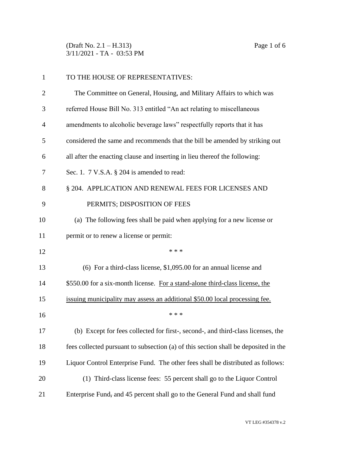(Draft No. 2.1 – H.313) Page 1 of 6 3/11/2021 - TA - 03:53 PM

| $\mathbf{1}$   | TO THE HOUSE OF REPRESENTATIVES:                                                    |
|----------------|-------------------------------------------------------------------------------------|
| $\overline{2}$ | The Committee on General, Housing, and Military Affairs to which was                |
| 3              | referred House Bill No. 313 entitled "An act relating to miscellaneous              |
| 4              | amendments to alcoholic beverage laws" respectfully reports that it has             |
| 5              | considered the same and recommends that the bill be amended by striking out         |
| 6              | all after the enacting clause and inserting in lieu thereof the following:          |
| 7              | Sec. 1. 7 V.S.A. § 204 is amended to read:                                          |
| 8              | § 204. APPLICATION AND RENEWAL FEES FOR LICENSES AND                                |
| 9              | PERMITS; DISPOSITION OF FEES                                                        |
| 10             | (a) The following fees shall be paid when applying for a new license or             |
| 11             | permit or to renew a license or permit:                                             |
| 12             | * * *                                                                               |
| 13             | $(6)$ For a third-class license, \$1,095.00 for an annual license and               |
| 14             | \$550.00 for a six-month license. For a stand-alone third-class license, the        |
| 15             | issuing municipality may assess an additional \$50.00 local processing fee.         |
| 16             | * * *                                                                               |
| 17             | (b) Except for fees collected for first-, second-, and third-class licenses, the    |
| 18             | fees collected pursuant to subsection (a) of this section shall be deposited in the |
| 19             | Liquor Control Enterprise Fund. The other fees shall be distributed as follows:     |
| 20             | (1) Third-class license fees: 55 percent shall go to the Liquor Control             |
| 21             | Enterprise Fund, and 45 percent shall go to the General Fund and shall fund         |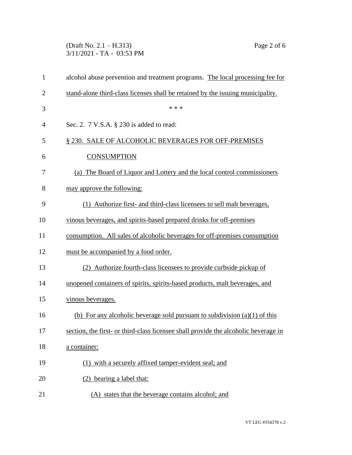## (Draft No. 2.1 – H.313) Page 2 of 6 3/11/2021 - TA - 03:53 PM

| $\mathbf{1}$   | alcohol abuse prevention and treatment programs. The local processing fee for       |
|----------------|-------------------------------------------------------------------------------------|
| $\overline{2}$ | stand-alone third-class licenses shall be retained by the issuing municipality.     |
| 3              | * * *                                                                               |
| 4              | Sec. 2. 7 V.S.A. § 230 is added to read:                                            |
| 5              | § 230. SALE OF ALCOHOLIC BEVERAGES FOR OFF-PREMISES                                 |
| 6              | <b>CONSUMPTION</b>                                                                  |
| 7              | (a) The Board of Liquor and Lottery and the local control commissioners             |
| 8              | may approve the following:                                                          |
| 9              | (1) Authorize first- and third-class licensees to sell malt beverages,              |
| 10             | vinous beverages, and spirits-based prepared drinks for off-premises                |
| 11             | consumption. All sales of alcoholic beverages for off-premises consumption          |
| 12             | must be accompanied by a food order.                                                |
| 13             | (2) Authorize fourth-class licensees to provide curbside pickup of                  |
| 14             | unopened containers of spirits, spirits-based products, malt beverages, and         |
| 15             | vinous beverages.                                                                   |
| 16             | (b) For any alcoholic beverage sold pursuant to subdivision $(a)(1)$ of this        |
| 17             | section, the first- or third-class licensee shall provide the alcoholic beverage in |
| 18             | a container:                                                                        |
| 19             | (1) with a securely affixed tamper-evident seal; and                                |
| 20             | (2) bearing a label that:                                                           |
| 21             | (A) states that the beverage contains alcohol; and                                  |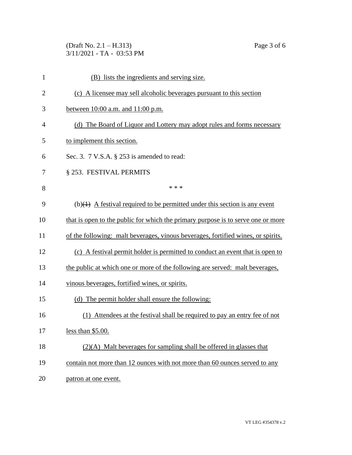(Draft No. 2.1 – H.313) Page 3 of 6 3/11/2021 - TA - 03:53 PM

| $\mathbf{1}$   | (B) lists the ingredients and serving size.                                               |
|----------------|-------------------------------------------------------------------------------------------|
| $\overline{2}$ | (c) A licensee may sell alcoholic beverages pursuant to this section                      |
| 3              | between 10:00 a.m. and 11:00 p.m.                                                         |
| $\overline{4}$ | (d) The Board of Liquor and Lottery may adopt rules and forms necessary                   |
| 5              | to implement this section.                                                                |
| 6              | Sec. 3. $7$ V.S.A. $\S$ 253 is amended to read:                                           |
| 7              | § 253. FESTIVAL PERMITS                                                                   |
| 8              | * * *                                                                                     |
| 9              | (b) $\left( +\right)$ A festival required to be permitted under this section is any event |
| 10             | that is open to the public for which the primary purpose is to serve one or more          |
| 11             | of the following: malt beverages, vinous beverages, fortified wines, or spirits.          |
| 12             | (c) A festival permit holder is permitted to conduct an event that is open to             |
| 13             | the public at which one or more of the following are served: malt beverages,              |
| 14             | vinous beverages, fortified wines, or spirits.                                            |
| 15             | (d) The permit holder shall ensure the following:                                         |
| 16             | (1) Attendees at the festival shall be required to pay an entry fee of not                |
| 17             | less than $$5.00$ .                                                                       |
| 18             | $(2)(A)$ Malt beverages for sampling shall be offered in glasses that                     |
| 19             | contain not more than 12 ounces with not more than 60 ounces served to any                |

20 patron at one event.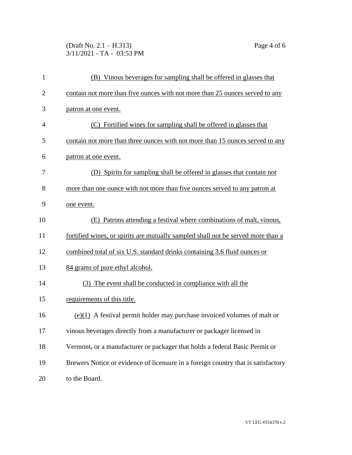## (Draft No. 2.1 – H.313) Page 4 of 6 3/11/2021 - TA - 03:53 PM

| 1              | (B) Vinous beverages for sampling shall be offered in glasses that                |
|----------------|-----------------------------------------------------------------------------------|
| $\overline{2}$ | contain not more than five ounces with not more than 25 ounces served to any      |
| 3              | patron at one event.                                                              |
| $\overline{4}$ | (C) Fortified wines for sampling shall be offered in glasses that                 |
| 5              | contain not more than three ounces with not more than 15 ounces served to any     |
| 6              | patron at one event.                                                              |
| 7              | (D) Spirits for sampling shall be offered in glasses that contain not             |
| 8              | more than one ounce with not more than five ounces served to any patron at        |
| 9              | one event.                                                                        |
| 10             | Patrons attending a festival where combinations of malt, vinous,<br>(E)           |
| 11             | fortified wines, or spirits are mutually sampled shall not be served more than a  |
| 12             | combined total of six U.S. standard drinks containing 3.6 fluid ounces or         |
| 13             | 84 grams of pure ethyl alcohol.                                                   |
| 14             | (3) The event shall be conducted in compliance with all the                       |
| 15             | requirements of this title.                                                       |
| 16             | $(e)(1)$ A festival permit holder may purchase invoiced volumes of malt or        |
| 17             | vinous beverages directly from a manufacturer or packager licensed in             |
| 18             | Vermont, or a manufacturer or packager that holds a federal Basic Permit or       |
| 19             | Brewers Notice or evidence of licensure in a foreign country that is satisfactory |
| 20             | to the Board.                                                                     |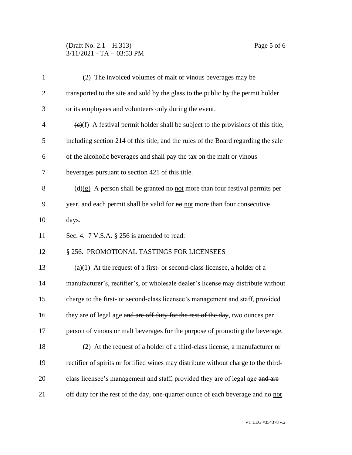## (Draft No. 2.1 – H.313) Page 5 of 6 3/11/2021 - TA - 03:53 PM

| $\mathbf{1}$   | (2) The invoiced volumes of malt or vinous beverages may be                                          |
|----------------|------------------------------------------------------------------------------------------------------|
| $\overline{2}$ | transported to the site and sold by the glass to the public by the permit holder                     |
| 3              | or its employees and volunteers only during the event.                                               |
| $\overline{4}$ | $\frac{(\epsilon)(f)}{f}$ A festival permit holder shall be subject to the provisions of this title, |
| 5              | including section 214 of this title, and the rules of the Board regarding the sale                   |
| 6              | of the alcoholic beverages and shall pay the tax on the malt or vinous                               |
| 7              | beverages pursuant to section 421 of this title.                                                     |
| 8              | $\left(\frac{d}{g}\right)$ A person shall be granted no not more than four festival permits per      |
| 9              | year, and each permit shall be valid for no not more than four consecutive                           |
| 10             | days.                                                                                                |
| 11             | Sec. 4. 7 V.S.A. § 256 is amended to read:                                                           |
| 12             | § 256. PROMOTIONAL TASTINGS FOR LICENSEES                                                            |
| 13             | $(a)(1)$ At the request of a first- or second-class licensee, a holder of a                          |
| 14             | manufacturer's, rectifier's, or wholesale dealer's license may distribute without                    |
| 15             | charge to the first- or second-class licensee's management and staff, provided                       |
| 16             | they are of legal age and are off duty for the rest of the day, two ounces per                       |
| 17             | person of vinous or malt beverages for the purpose of promoting the beverage.                        |
| 18             | (2) At the request of a holder of a third-class license, a manufacturer or                           |
| 19             | rectifier of spirits or fortified wines may distribute without charge to the third-                  |
| 20             | class licensee's management and staff, provided they are of legal age and are                        |
| 21             | off duty for the rest of the day, one-quarter ounce of each beverage and no not                      |